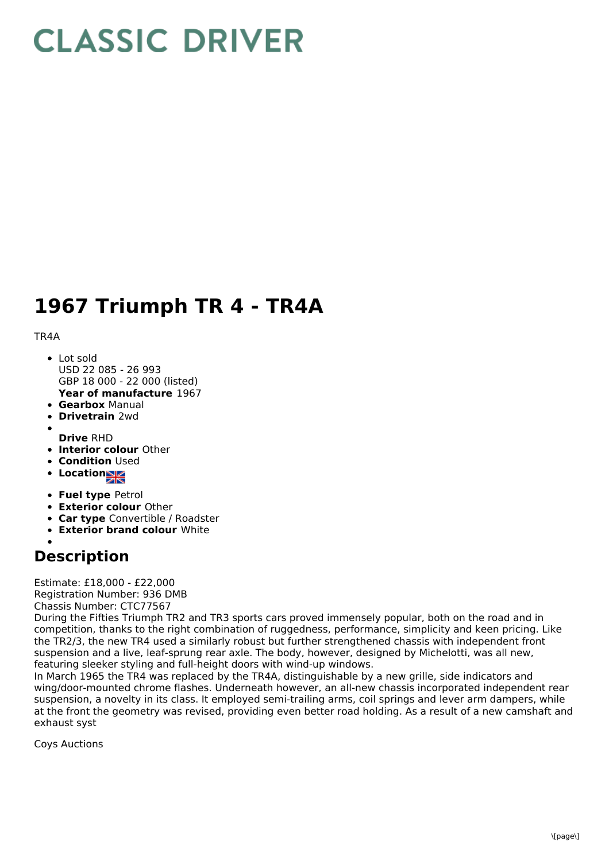## **CLASSIC DRIVER**

## **1967 Triumph TR 4 - TR4A**

## TR4A

- **Year of manufacture** 1967 • Lot sold USD 22 085 - 26 993 GBP 18 000 - 22 000 (listed)
- **Gearbox** Manual
- **Drivetrain** 2wd
- 
- **Drive** RHD
- **Interior colour** Other
- **Condition Used**
- **Location**
- **Fuel type** Petrol
- **Exterior colour** Other
- **Car type** Convertible / Roadster
- **Exterior brand colour** White
- 

## **Description**

Estimate: £18,000 - £22,000 Registration Number: 936 DMB Chassis Number: CTC77567

During the Fifties Triumph TR2 and TR3 sports cars proved immensely popular, both on the road and in competition, thanks to the right combination of ruggedness, performance, simplicity and keen pricing. Like the TR2/3, the new TR4 used a similarly robust but further strengthened chassis with independent front suspension and a live, leaf-sprung rear axle. The body, however, designed by Michelotti, was all new, featuring sleeker styling and full-height doors with wind-up windows.

In March 1965 the TR4 was replaced by the TR4A, distinguishable by a new grille, side indicators and wing/door-mounted chrome flashes. Underneath however, an all-new chassis incorporated independent rear suspension, a novelty in its class. It employed semi-trailing arms, coil springs and lever arm dampers, while at the front the geometry was revised, providing even better road holding. As a result of a new camshaft and exhaust syst

Coys Auctions